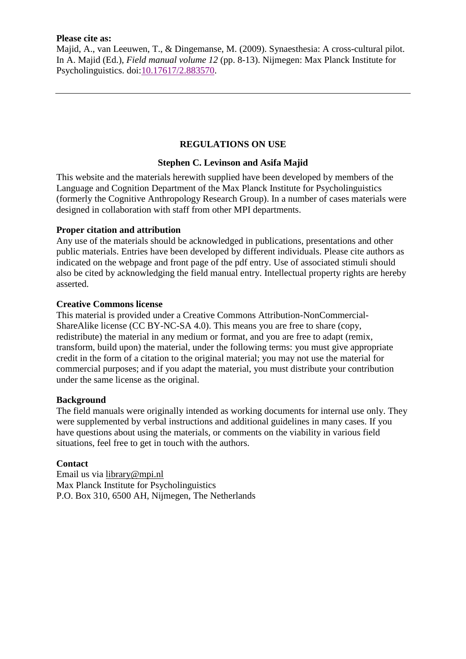#### **Please cite as:**

Majid, A., van Leeuwen, T., & Dingemanse, M. (2009). Synaesthesia: A cross-cultural pilot. In A. Majid (Ed.), *Field manual volume 12* (pp. 8-13). Nijmegen: Max Planck Institute for Psycholinguistics. doi[:10.17617/2.883570.](https://doi.org/10.17617/2.883570)

# **REGULATIONS ON USE**

# **Stephen C. Levinson and Asifa Majid**

This website and the materials herewith supplied have been developed by members of the Language and Cognition Department of the Max Planck Institute for Psycholinguistics (formerly the Cognitive Anthropology Research Group). In a number of cases materials were designed in collaboration with staff from other MPI departments.

# **Proper citation and attribution**

Any use of the materials should be acknowledged in publications, presentations and other public materials. Entries have been developed by different individuals. Please cite authors as indicated on the webpage and front page of the pdf entry. Use of associated stimuli should also be cited by acknowledging the field manual entry. Intellectual property rights are hereby asserted.

#### **Creative Commons license**

This material is provided under a Creative Commons Attribution-NonCommercial-ShareAlike license (CC BY-NC-SA 4.0). This means you are free to share (copy, redistribute) the material in any medium or format, and you are free to adapt (remix, transform, build upon) the material, under the following terms: you must give appropriate credit in the form of a citation to the original material; you may not use the material for commercial purposes; and if you adapt the material, you must distribute your contribution under the same license as the original.

#### **Background**

The field manuals were originally intended as working documents for internal use only. They were supplemented by verbal instructions and additional guidelines in many cases. If you have questions about using the materials, or comments on the viability in various field situations, feel free to get in touch with the authors.

#### **Contact**

Email us via [library@mpi.nl](mailto:library@mpi.nl) Max Planck Institute for Psycholinguistics P.O. Box 310, 6500 AH, Nijmegen, The Netherlands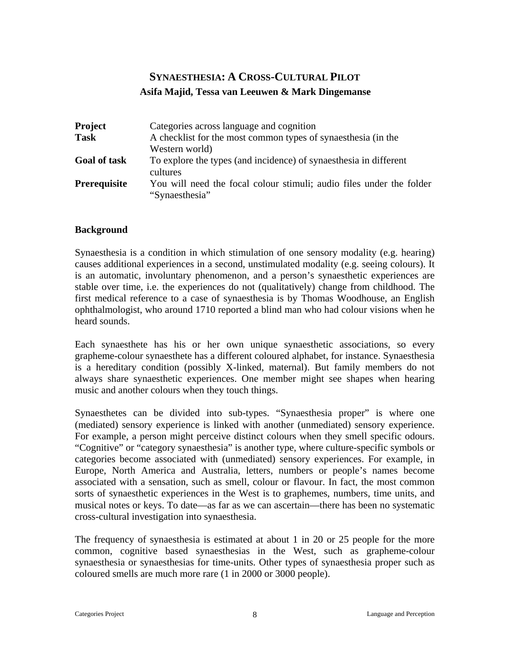# **SYNAESTHESIA: A CROSS-CULTURAL PILOT Asifa Majid, Tessa van Leeuwen & Mark Dingemanse**

| <b>Project</b>      | Categories across language and cognition                                               |  |
|---------------------|----------------------------------------------------------------------------------------|--|
| <b>Task</b>         | A checklist for the most common types of synaesthesia (in the                          |  |
|                     | Western world)                                                                         |  |
| <b>Goal of task</b> | To explore the types (and incidence) of synaesthesia in different<br>cultures          |  |
| <b>Prerequisite</b> | You will need the focal colour stimuli; audio files under the folder<br>"Synaesthesia" |  |

#### **Background**

Synaesthesia is a condition in which stimulation of one sensory modality (e.g. hearing) causes additional experiences in a second, unstimulated modality (e.g. seeing colours). It is an automatic, involuntary phenomenon, and a person's synaesthetic experiences are stable over time, i.e. the experiences do not (qualitatively) change from childhood. The first medical reference to a case of synaesthesia is by Thomas Woodhouse, an English ophthalmologist, who around 1710 reported a blind man who had colour visions when he heard sounds.

Each synaesthete has his or her own unique synaesthetic associations, so every grapheme-colour synaesthete has a different coloured alphabet, for instance. Synaesthesia is a hereditary condition (possibly X-linked, maternal). But family members do not always share synaesthetic experiences. One member might see shapes when hearing music and another colours when they touch things.

Synaesthetes can be divided into sub-types. "Synaesthesia proper" is where one (mediated) sensory experience is linked with another (unmediated) sensory experience. For example, a person might perceive distinct colours when they smell specific odours. "Cognitive" or "category synaesthesia" is another type, where culture-specific symbols or categories become associated with (unmediated) sensory experiences. For example, in Europe, North America and Australia, letters, numbers or people's names become associated with a sensation, such as smell, colour or flavour. In fact, the most common sorts of synaesthetic experiences in the West is to graphemes, numbers, time units, and musical notes or keys. To date—as far as we can ascertain—there has been no systematic cross-cultural investigation into synaesthesia.

The frequency of synaesthesia is estimated at about 1 in 20 or 25 people for the more common, cognitive based synaesthesias in the West, such as grapheme-colour synaesthesia or synaesthesias for time-units. Other types of synaesthesia proper such as coloured smells are much more rare (1 in 2000 or 3000 people).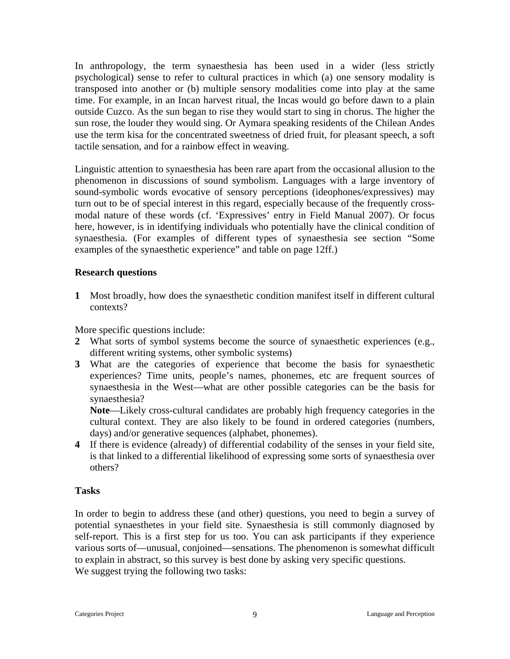In anthropology, the term synaesthesia has been used in a wider (less strictly psychological) sense to refer to cultural practices in which (a) one sensory modality is transposed into another or (b) multiple sensory modalities come into play at the same time. For example, in an Incan harvest ritual, the Incas would go before dawn to a plain outside Cuzco. As the sun began to rise they would start to sing in chorus. The higher the sun rose, the louder they would sing. Or Aymara speaking residents of the Chilean Andes use the term kisa for the concentrated sweetness of dried fruit, for pleasant speech, a soft tactile sensation, and for a rainbow effect in weaving.

Linguistic attention to synaesthesia has been rare apart from the occasional allusion to the phenomenon in discussions of sound symbolism. Languages with a large inventory of sound-symbolic words evocative of sensory perceptions (ideophones/expressives) may turn out to be of special interest in this regard, especially because of the frequently crossmodal nature of these words (cf. 'Expressives' entry in Field Manual 2007). Or focus here, however, is in identifying individuals who potentially have the clinical condition of synaesthesia. (For examples of different types of synaesthesia see section "Some examples of the synaesthetic experience" and table on page 12ff.)

#### **Research questions**

**1** Most broadly, how does the synaesthetic condition manifest itself in different cultural contexts?

More specific questions include:

- **2** What sorts of symbol systems become the source of synaesthetic experiences (e.g., different writing systems, other symbolic systems)
- **3** What are the categories of experience that become the basis for synaesthetic experiences? Time units, people's names, phonemes, etc are frequent sources of synaesthesia in the West—what are other possible categories can be the basis for synaesthesia?

**Note**—Likely cross-cultural candidates are probably high frequency categories in the cultural context. They are also likely to be found in ordered categories (numbers, days) and/or generative sequences (alphabet, phonemes).

**4** If there is evidence (already) of differential codability of the senses in your field site, is that linked to a differential likelihood of expressing some sorts of synaesthesia over others?

#### **Tasks**

In order to begin to address these (and other) questions, you need to begin a survey of potential synaesthetes in your field site. Synaesthesia is still commonly diagnosed by self-report. This is a first step for us too. You can ask participants if they experience various sorts of—unusual, conjoined—sensations. The phenomenon is somewhat difficult to explain in abstract, so this survey is best done by asking very specific questions. We suggest trying the following two tasks: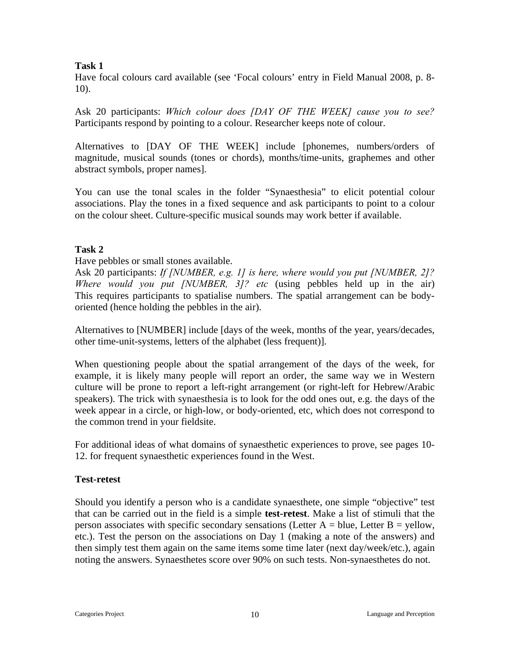# **Task 1**

Have focal colours card available (see 'Focal colours' entry in Field Manual 2008, p. 8- 10).

Ask 20 participants: *Which colour does [DAY OF THE WEEK] cause you to see?* Participants respond by pointing to a colour. Researcher keeps note of colour.

Alternatives to [DAY OF THE WEEK] include [phonemes, numbers/orders of magnitude, musical sounds (tones or chords), months/time-units, graphemes and other abstract symbols, proper names].

You can use the tonal scales in the folder "Synaesthesia" to elicit potential colour associations. Play the tones in a fixed sequence and ask participants to point to a colour on the colour sheet. Culture-specific musical sounds may work better if available.

# **Task 2**

Have pebbles or small stones available.

Ask 20 participants: *If [NUMBER, e.g. 1] is here, where would you put [NUMBER, 2]? Where would you put [NUMBER, 3]? etc* (using pebbles held up in the air) This requires participants to spatialise numbers. The spatial arrangement can be bodyoriented (hence holding the pebbles in the air).

Alternatives to [NUMBER] include [days of the week, months of the year, years/decades, other time-unit-systems, letters of the alphabet (less frequent)].

When questioning people about the spatial arrangement of the days of the week, for example, it is likely many people will report an order, the same way we in Western culture will be prone to report a left-right arrangement (or right-left for Hebrew/Arabic speakers). The trick with synaesthesia is to look for the odd ones out, e.g. the days of the week appear in a circle, or high-low, or body-oriented, etc, which does not correspond to the common trend in your fieldsite.

For additional ideas of what domains of synaesthetic experiences to prove, see pages 10- 12. for frequent synaesthetic experiences found in the West.

# **Test-retest**

Should you identify a person who is a candidate synaesthete, one simple "objective" test that can be carried out in the field is a simple **test-retest**. Make a list of stimuli that the person associates with specific secondary sensations (Letter  $A = blue$ , Letter  $B = yellow$ , etc.). Test the person on the associations on Day 1 (making a note of the answers) and then simply test them again on the same items some time later (next day/week/etc.), again noting the answers. Synaesthetes score over 90% on such tests. Non-synaesthetes do not.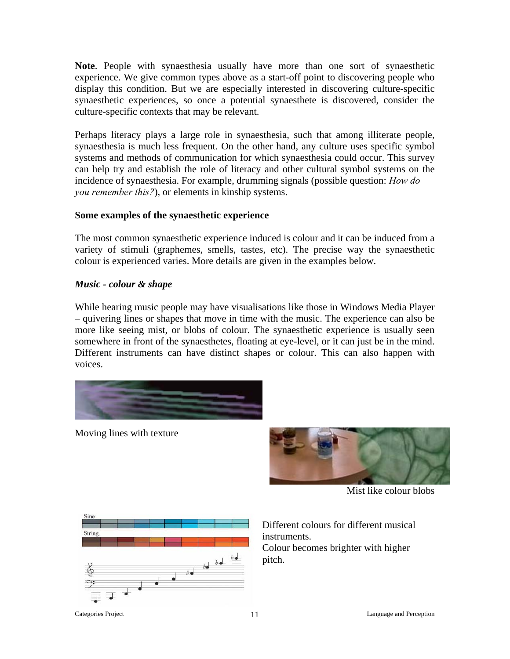**Note**. People with synaesthesia usually have more than one sort of synaesthetic experience. We give common types above as a start-off point to discovering people who display this condition. But we are especially interested in discovering culture-specific synaesthetic experiences, so once a potential synaesthete is discovered, consider the culture-specific contexts that may be relevant.

Perhaps literacy plays a large role in synaesthesia, such that among illiterate people, synaesthesia is much less frequent. On the other hand, any culture uses specific symbol systems and methods of communication for which synaesthesia could occur. This survey can help try and establish the role of literacy and other cultural symbol systems on the incidence of synaesthesia. For example, drumming signals (possible question: *How do you remember this?*), or elements in kinship systems.

#### **Some examples of the synaesthetic experience**

The most common synaesthetic experience induced is colour and it can be induced from a variety of stimuli (graphemes, smells, tastes, etc). The precise way the synaesthetic colour is experienced varies. More details are given in the examples below.

# *Music - colour & shape*

While hearing music people may have visualisations like those in Windows Media Player – quivering lines or shapes that move in time with the music. The experience can also be more like seeing mist, or blobs of colour. The synaesthetic experience is usually seen somewhere in front of the synaesthetes, floating at eye-level, or it can just be in the mind. Different instruments can have distinct shapes or colour. This can also happen with voices.



Moving lines with texture



Mist like colour blobs



Different colours for different musical instruments. Colour becomes brighter with higher pitch.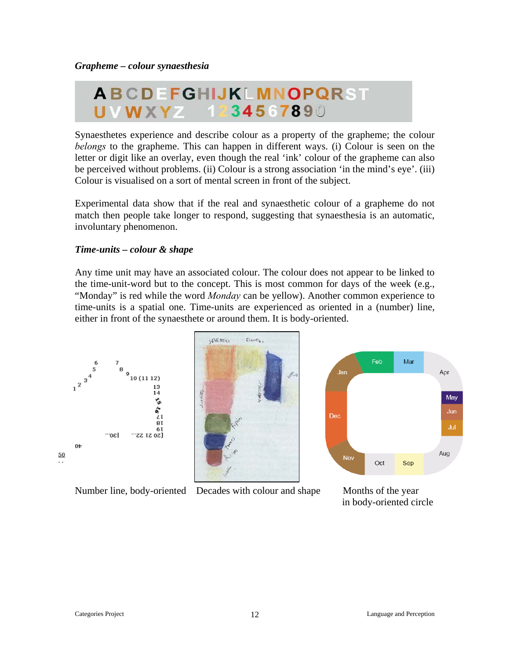# ABCDEFGHIJKLMNOPQRST UVWXYZ 1234567890

be perceived without problems. (ii) Colour is a strong association 'in the mind's eye'. (iii) Colour is visualised on a sort of mental screen in front of the subject. Synaesthetes experience and describe colour as a property of the grapheme; the colour *belongs* to the grapheme. This can happen in different ways. (i) Colour is seen on the letter or digit like an overlay, even though the real 'ink' colour of the grapheme can also

match then people take longer to respond, suggesting that synaesthesia is an automatic, involuntary phenomenon. Experimental data show that if the real and synaesthetic colour of a grapheme do not

#### *ime-units – colour & shape T*

time-units is a spatial one. Time-units are experienced as oriented in a (number) line, either in front of the synaesthete or around them. It is body-oriented. Any time unit may have an associated colour. The colour does not appear to be linked to the time-unit-word but to the concept. This is most common for days of the week (e.g., "Monday" is red while the word *Monday* can be yellow). Another common experience to





Number line, body-oriented Decades with colour and shape



 in body-oriented circle Months of the year